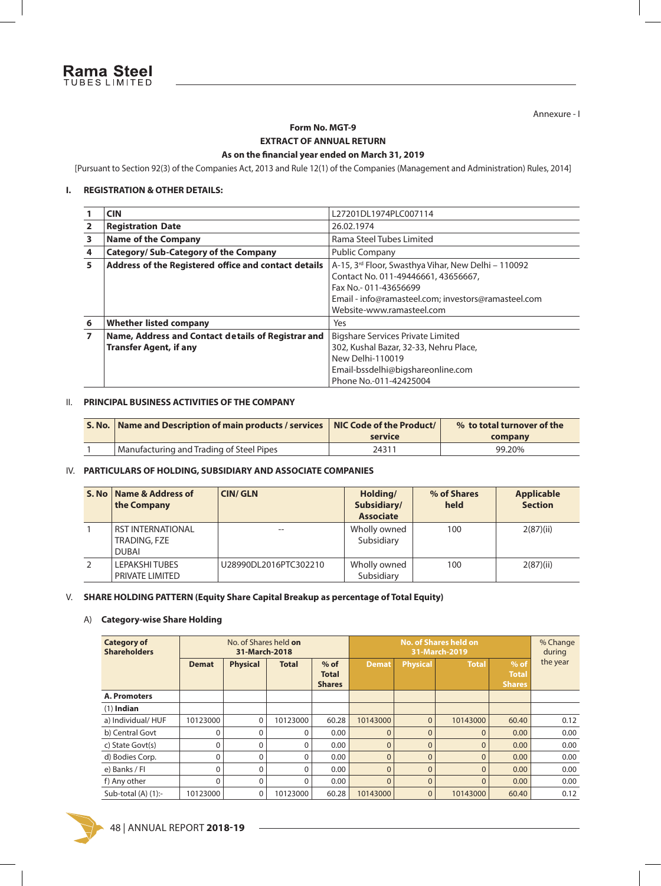Annexure - I

### **Form No. MGT-9 EXTRACT OF ANNUAL RETURN**

#### As on the financial year ended on March 31, 2019

[Pursuant to Section 92(3) of the Companies Act, 2013 and Rule 12(1) of the Companies (Management and Administration) Rules, 2014]

#### **I. REGISTRATION & OTHER DETAILS:**

|   | <b>CIN</b>                                           | L27201DL1974PLC007114                               |
|---|------------------------------------------------------|-----------------------------------------------------|
| 2 | <b>Registration Date</b>                             | 26.02.1974                                          |
| 3 | <b>Name of the Company</b>                           | Rama Steel Tubes Limited                            |
| 4 | <b>Category/Sub-Category of the Company</b>          | Public Company                                      |
| 5 | Address of the Registered office and contact details | A-15, 3rd Floor, Swasthya Vihar, New Delhi - 110092 |
|   |                                                      | Contact No. 011-49446661, 43656667,                 |
|   |                                                      | Fax No.-011-43656699                                |
|   |                                                      | Email - info@ramasteel.com; investors@ramasteel.com |
|   |                                                      | Website-www.ramasteel.com                           |
| 6 | <b>Whether listed company</b>                        | Yes                                                 |
| 7 | Name, Address and Contact details of Registrar and   | <b>Bigshare Services Private Limited</b>            |
|   | <b>Transfer Agent, if any</b>                        | 302, Kushal Bazar, 32-33, Nehru Place,              |
|   |                                                      | New Delhi-110019                                    |
|   |                                                      | Email-bssdelhi@bigshareonline.com                   |
|   |                                                      | Phone No.-011-42425004                              |

#### II. **PRINCIPAL BUSINESS ACTIVITIES OF THE COMPANY**

| S. No.   Name and Description of main products / services   NIC Code of the Product/ | service | % to total turnover of the<br>company |
|--------------------------------------------------------------------------------------|---------|---------------------------------------|
| Manufacturing and Trading of Steel Pipes                                             | 24311   | 99.20%                                |

#### IV. **PARTICULARS OF HOLDING, SUBSIDIARY AND ASSOCIATE COMPANIES**

| S. No | Name & Address of<br>the Company                         | <b>CIN/GLN</b>        | Holding/<br>Subsidiary/<br><b>Associate</b> | % of Shares<br>held | <b>Applicable</b><br><b>Section</b> |
|-------|----------------------------------------------------------|-----------------------|---------------------------------------------|---------------------|-------------------------------------|
|       | <b>RST INTERNATIONAL</b><br>TRADING, FZE<br><b>DUBAI</b> |                       | Wholly owned<br>Subsidiary                  | 100                 | 2(87)(ii)                           |
|       | <b>LEPAKSHITUBES</b><br>PRIVATE LIMITED                  | U28990DL2016PTC302210 | Wholly owned<br>Subsidiary                  | 100                 | 2(87)(ii)                           |

#### V. **SHARE HOLDING PATTERN (Equity Share Capital Breakup as percentage of Total Equity)**

#### A) **Category-wise Share Holding**

| <b>Category of</b><br><b>Shareholders</b> | No. of Shares held on<br>31-March-2018 |                 |              |                                         |                | % Change<br>during |              |                                  |          |
|-------------------------------------------|----------------------------------------|-----------------|--------------|-----------------------------------------|----------------|--------------------|--------------|----------------------------------|----------|
|                                           | <b>Demat</b>                           | <b>Physical</b> | <b>Total</b> | $%$ of<br><b>Total</b><br><b>Shares</b> | Demat          | <b>Physical</b>    | <b>Total</b> | $%$ of<br><b>Total</b><br>Shares | the year |
| A. Promoters                              |                                        |                 |              |                                         |                |                    |              |                                  |          |
| $(1)$ Indian                              |                                        |                 |              |                                         |                |                    |              |                                  |          |
| a) Individual/HUF                         | 10123000                               | 0               | 10123000     | 60.28                                   | 10143000       | $\overline{0}$     | 10143000     | 60.40                            | 0.12     |
| b) Central Govt                           | 0                                      |                 | 0            | 0.00                                    | $\Omega$       | $\Omega$           | $\Omega$     | 0.00                             | 0.00     |
| c) State Govt(s)                          | $\Omega$                               |                 | $\Omega$     | 0.00                                    | $\overline{0}$ | $\Omega$           | $\mathbf{0}$ | 0.00                             | 0.00     |
| d) Bodies Corp.                           | 0                                      | $\mathbf{0}$    | 0            | 0.00                                    | $\overline{0}$ | $\overline{0}$     | $\mathbf{0}$ | 0.00                             | 0.00     |
| e) Banks / Fl                             | $\Omega$                               | $\Omega$        | $\Omega$     | 0.00                                    | $\overline{0}$ | $\overline{0}$     | $\Omega$     | 0.00                             | 0.00     |
| f) Any other                              | 0                                      | 0               | 0            | 0.00                                    | $\overline{0}$ | $\overline{0}$     | $\Omega$     | 0.00                             | 0.00     |
| Sub-total $(A)$ $(1)$ :-                  | 10123000                               | 0               | 10123000     | 60.28                                   | 10143000       | $\mathbf{0}$       | 10143000     | 60.40                            | 0.12     |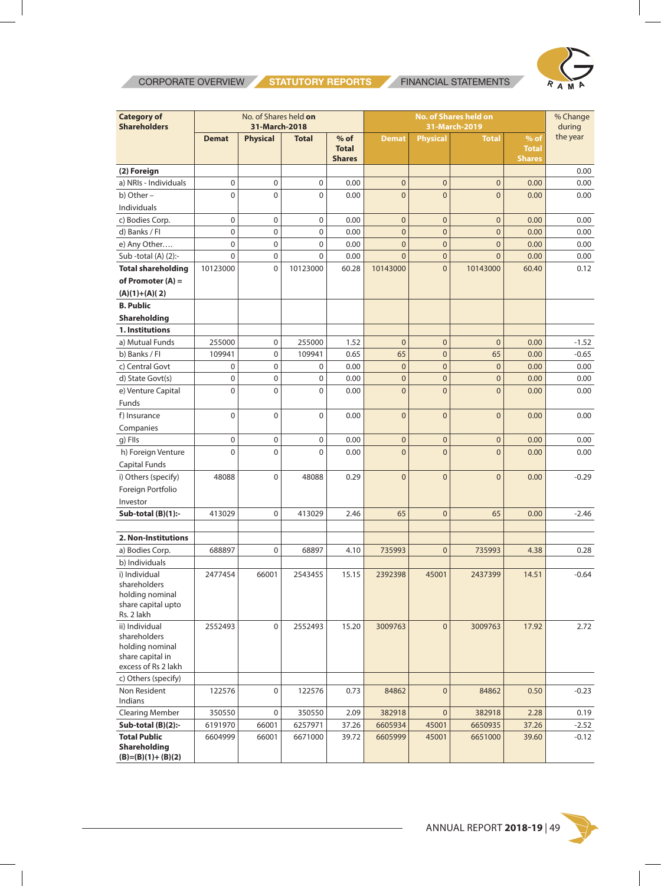**CORPORATE OVERVIEW STATUTORY REPORTS** FINANCIAL STATEMENTS



| the year<br><b>Physical</b><br>$%$ of<br><b>Physical</b><br>$%$ of<br><b>Demat</b><br><b>Total</b><br><b>Demat</b><br><b>Total</b><br><b>Total</b><br><b>Total</b><br><b>Shares</b><br><b>Shares</b><br>(2) Foreign<br>0.00<br>$\boldsymbol{0}$<br>a) NRIs - Individuals<br>$\pmb{0}$<br>0<br>$\mathbf 0$<br>$\mathbf 0$<br>0.00<br>$\mathbf 0$<br>0.00<br>0.00<br>b) Other -<br>$\Omega$<br>$\mathbf 0$<br>$\overline{0}$<br>$\mathbf 0$<br>0.00<br>$\overline{0}$<br>$\overline{0}$<br>0.00<br>0.00<br>Individuals<br>$\pmb{0}$<br>$\boldsymbol{0}$<br>c) Bodies Corp.<br>0<br>0.00<br>$\mathbf{0}$<br>$\mathbf 0$<br>0.00<br>$\mathbf 0$<br>0.00<br>$\mathbf 0$<br>$\boldsymbol{0}$<br>$\overline{0}$<br>d) Banks / Fl<br>$\mathbf 0$<br>0.00<br>$\mathbf 0$<br>$\bf 0$<br>0.00<br>0.00<br>$\mathbf 0$<br>$\mathbf 0$<br>$\mathbf 0$<br>$\overline{0}$<br>$\overline{0}$<br>0.00<br>e) Any Other<br>0.00<br>$\overline{0}$<br>0.00<br>$\Omega$<br>$\boldsymbol{0}$<br>0<br>0.00<br>$\Omega$<br>$\overline{0}$<br>$\overline{0}$<br>0.00<br>Sub-total $(A)$ $(2)$ :-<br>0.00<br>$\overline{0}$<br><b>Total shareholding</b><br>10123000<br>$\mathbf 0$<br>10123000<br>10143000<br>10143000<br>0.12<br>60.28<br>60.40<br>of Promoter $(A)$ =<br>$(A)(1)+(A)(2)$<br><b>B. Public</b><br>Shareholding<br>1. Institutions<br>255000<br>$\boldsymbol{0}$<br>255000<br>1.52<br>$\overline{0}$<br>$\overline{0}$<br>$\mathbf{0}$<br>0.00<br>$-1.52$<br>a) Mutual Funds<br>$\boldsymbol{0}$<br>$\mathbf{0}$<br>109941<br>109941<br>0.65<br>65<br>65<br>0.00<br>b) Banks / Fl<br>$-0.65$<br>$\boldsymbol{0}$<br>$\mathbf 0$<br>$\mathbf{0}$<br>c) Central Govt<br>$\mathbf 0$<br>0<br>0.00<br>$\mathbf 0$<br>0.00<br>0.00<br>d) State Govt(s)<br>$\mathbf 0$<br>$\boldsymbol{0}$<br>0<br>0.00<br>$\bf 0$<br>$\mathbf{0}$<br>0.00<br>$\mathbf 0$<br>0.00<br>$\mathbf 0$<br>$\mathbf 0$<br>$\overline{0}$<br>$\overline{0}$<br>e) Venture Capital<br>0<br>0.00<br>$\overline{0}$<br>0.00<br>0.00<br>Funds<br>f) Insurance<br>$\mathbf 0$<br>$\mathbf 0$<br>0<br>0.00<br>$\overline{0}$<br>$\overline{0}$<br>$\overline{0}$<br>0.00<br>0.00<br>Companies<br>g) FIIs<br>$\mathbf 0$<br>$\mathbf 0$<br>0<br>0.00<br>$\mathbf 0$<br>$\mathbf 0$<br>0.00<br>$\mathbf 0$<br>0.00<br>h) Foreign Venture<br>$\mathbf{0}$<br>$\mathbf 0$<br>0.00<br>$\overline{0}$<br>$\overline{0}$<br>$\Omega$<br>$\Omega$<br>0.00<br>0.00<br>Capital Funds<br>i) Others (specify)<br>48088<br>$\mathbf 0$<br>48088<br>0.29<br>$\overline{0}$<br>$\overline{0}$<br>$\overline{0}$<br>$-0.29$<br>0.00<br>Foreign Portfolio<br>Investor<br>Sub-total (B)(1):-<br>$\mathbf 0$<br>65<br>$\bf 0$<br>413029<br>413029<br>2.46<br>65<br>0.00<br>$-2.46$<br>2. Non-Institutions<br>a) Bodies Corp.<br>688897<br>$\mathbf 0$<br>$\mathbf{0}$<br>735993<br>68897<br>4.10<br>735993<br>4.38<br>0.28<br>b) Individuals<br>i) Individual<br>2477454<br>66001<br>2543455<br>15.15<br>2392398<br>45001<br>2437399<br>14.51<br>$-0.64$<br>shareholders<br>holding nominal<br>share capital upto<br>Rs. 2 lakh<br>ii) Individual<br>2552493<br>$\mathbf 0$<br>2552493<br>15.20<br>3009763<br>$\mathbf 0$<br>3009763<br>17.92<br>2.72<br>shareholders<br>holding nominal | <b>Category of</b><br>No. of Shares held on<br><b>No. of Shares held on</b><br><b>Shareholders</b><br>31-March-2018<br>31-March-2019 |  |  |  |  |  | % Change<br>during |  |  |
|------------------------------------------------------------------------------------------------------------------------------------------------------------------------------------------------------------------------------------------------------------------------------------------------------------------------------------------------------------------------------------------------------------------------------------------------------------------------------------------------------------------------------------------------------------------------------------------------------------------------------------------------------------------------------------------------------------------------------------------------------------------------------------------------------------------------------------------------------------------------------------------------------------------------------------------------------------------------------------------------------------------------------------------------------------------------------------------------------------------------------------------------------------------------------------------------------------------------------------------------------------------------------------------------------------------------------------------------------------------------------------------------------------------------------------------------------------------------------------------------------------------------------------------------------------------------------------------------------------------------------------------------------------------------------------------------------------------------------------------------------------------------------------------------------------------------------------------------------------------------------------------------------------------------------------------------------------------------------------------------------------------------------------------------------------------------------------------------------------------------------------------------------------------------------------------------------------------------------------------------------------------------------------------------------------------------------------------------------------------------------------------------------------------------------------------------------------------------------------------------------------------------------------------------------------------------------------------------------------------------------------------------------------------------------------------------------------------------------------------------------------------------------------------------------------------------------------------------------------------------------------------------------------------------------------------------------------------------------------------------------------------------------------------------------------------------------------------------------------------------------------------------------------------------------------------------------------------------|--------------------------------------------------------------------------------------------------------------------------------------|--|--|--|--|--|--------------------|--|--|
|                                                                                                                                                                                                                                                                                                                                                                                                                                                                                                                                                                                                                                                                                                                                                                                                                                                                                                                                                                                                                                                                                                                                                                                                                                                                                                                                                                                                                                                                                                                                                                                                                                                                                                                                                                                                                                                                                                                                                                                                                                                                                                                                                                                                                                                                                                                                                                                                                                                                                                                                                                                                                                                                                                                                                                                                                                                                                                                                                                                                                                                                                                                                                                                                                        |                                                                                                                                      |  |  |  |  |  |                    |  |  |
|                                                                                                                                                                                                                                                                                                                                                                                                                                                                                                                                                                                                                                                                                                                                                                                                                                                                                                                                                                                                                                                                                                                                                                                                                                                                                                                                                                                                                                                                                                                                                                                                                                                                                                                                                                                                                                                                                                                                                                                                                                                                                                                                                                                                                                                                                                                                                                                                                                                                                                                                                                                                                                                                                                                                                                                                                                                                                                                                                                                                                                                                                                                                                                                                                        |                                                                                                                                      |  |  |  |  |  |                    |  |  |
|                                                                                                                                                                                                                                                                                                                                                                                                                                                                                                                                                                                                                                                                                                                                                                                                                                                                                                                                                                                                                                                                                                                                                                                                                                                                                                                                                                                                                                                                                                                                                                                                                                                                                                                                                                                                                                                                                                                                                                                                                                                                                                                                                                                                                                                                                                                                                                                                                                                                                                                                                                                                                                                                                                                                                                                                                                                                                                                                                                                                                                                                                                                                                                                                                        |                                                                                                                                      |  |  |  |  |  |                    |  |  |
|                                                                                                                                                                                                                                                                                                                                                                                                                                                                                                                                                                                                                                                                                                                                                                                                                                                                                                                                                                                                                                                                                                                                                                                                                                                                                                                                                                                                                                                                                                                                                                                                                                                                                                                                                                                                                                                                                                                                                                                                                                                                                                                                                                                                                                                                                                                                                                                                                                                                                                                                                                                                                                                                                                                                                                                                                                                                                                                                                                                                                                                                                                                                                                                                                        |                                                                                                                                      |  |  |  |  |  |                    |  |  |
|                                                                                                                                                                                                                                                                                                                                                                                                                                                                                                                                                                                                                                                                                                                                                                                                                                                                                                                                                                                                                                                                                                                                                                                                                                                                                                                                                                                                                                                                                                                                                                                                                                                                                                                                                                                                                                                                                                                                                                                                                                                                                                                                                                                                                                                                                                                                                                                                                                                                                                                                                                                                                                                                                                                                                                                                                                                                                                                                                                                                                                                                                                                                                                                                                        |                                                                                                                                      |  |  |  |  |  |                    |  |  |
|                                                                                                                                                                                                                                                                                                                                                                                                                                                                                                                                                                                                                                                                                                                                                                                                                                                                                                                                                                                                                                                                                                                                                                                                                                                                                                                                                                                                                                                                                                                                                                                                                                                                                                                                                                                                                                                                                                                                                                                                                                                                                                                                                                                                                                                                                                                                                                                                                                                                                                                                                                                                                                                                                                                                                                                                                                                                                                                                                                                                                                                                                                                                                                                                                        |                                                                                                                                      |  |  |  |  |  |                    |  |  |
|                                                                                                                                                                                                                                                                                                                                                                                                                                                                                                                                                                                                                                                                                                                                                                                                                                                                                                                                                                                                                                                                                                                                                                                                                                                                                                                                                                                                                                                                                                                                                                                                                                                                                                                                                                                                                                                                                                                                                                                                                                                                                                                                                                                                                                                                                                                                                                                                                                                                                                                                                                                                                                                                                                                                                                                                                                                                                                                                                                                                                                                                                                                                                                                                                        |                                                                                                                                      |  |  |  |  |  |                    |  |  |
|                                                                                                                                                                                                                                                                                                                                                                                                                                                                                                                                                                                                                                                                                                                                                                                                                                                                                                                                                                                                                                                                                                                                                                                                                                                                                                                                                                                                                                                                                                                                                                                                                                                                                                                                                                                                                                                                                                                                                                                                                                                                                                                                                                                                                                                                                                                                                                                                                                                                                                                                                                                                                                                                                                                                                                                                                                                                                                                                                                                                                                                                                                                                                                                                                        |                                                                                                                                      |  |  |  |  |  |                    |  |  |
|                                                                                                                                                                                                                                                                                                                                                                                                                                                                                                                                                                                                                                                                                                                                                                                                                                                                                                                                                                                                                                                                                                                                                                                                                                                                                                                                                                                                                                                                                                                                                                                                                                                                                                                                                                                                                                                                                                                                                                                                                                                                                                                                                                                                                                                                                                                                                                                                                                                                                                                                                                                                                                                                                                                                                                                                                                                                                                                                                                                                                                                                                                                                                                                                                        |                                                                                                                                      |  |  |  |  |  |                    |  |  |
|                                                                                                                                                                                                                                                                                                                                                                                                                                                                                                                                                                                                                                                                                                                                                                                                                                                                                                                                                                                                                                                                                                                                                                                                                                                                                                                                                                                                                                                                                                                                                                                                                                                                                                                                                                                                                                                                                                                                                                                                                                                                                                                                                                                                                                                                                                                                                                                                                                                                                                                                                                                                                                                                                                                                                                                                                                                                                                                                                                                                                                                                                                                                                                                                                        |                                                                                                                                      |  |  |  |  |  |                    |  |  |
|                                                                                                                                                                                                                                                                                                                                                                                                                                                                                                                                                                                                                                                                                                                                                                                                                                                                                                                                                                                                                                                                                                                                                                                                                                                                                                                                                                                                                                                                                                                                                                                                                                                                                                                                                                                                                                                                                                                                                                                                                                                                                                                                                                                                                                                                                                                                                                                                                                                                                                                                                                                                                                                                                                                                                                                                                                                                                                                                                                                                                                                                                                                                                                                                                        |                                                                                                                                      |  |  |  |  |  |                    |  |  |
|                                                                                                                                                                                                                                                                                                                                                                                                                                                                                                                                                                                                                                                                                                                                                                                                                                                                                                                                                                                                                                                                                                                                                                                                                                                                                                                                                                                                                                                                                                                                                                                                                                                                                                                                                                                                                                                                                                                                                                                                                                                                                                                                                                                                                                                                                                                                                                                                                                                                                                                                                                                                                                                                                                                                                                                                                                                                                                                                                                                                                                                                                                                                                                                                                        |                                                                                                                                      |  |  |  |  |  |                    |  |  |
|                                                                                                                                                                                                                                                                                                                                                                                                                                                                                                                                                                                                                                                                                                                                                                                                                                                                                                                                                                                                                                                                                                                                                                                                                                                                                                                                                                                                                                                                                                                                                                                                                                                                                                                                                                                                                                                                                                                                                                                                                                                                                                                                                                                                                                                                                                                                                                                                                                                                                                                                                                                                                                                                                                                                                                                                                                                                                                                                                                                                                                                                                                                                                                                                                        |                                                                                                                                      |  |  |  |  |  |                    |  |  |
|                                                                                                                                                                                                                                                                                                                                                                                                                                                                                                                                                                                                                                                                                                                                                                                                                                                                                                                                                                                                                                                                                                                                                                                                                                                                                                                                                                                                                                                                                                                                                                                                                                                                                                                                                                                                                                                                                                                                                                                                                                                                                                                                                                                                                                                                                                                                                                                                                                                                                                                                                                                                                                                                                                                                                                                                                                                                                                                                                                                                                                                                                                                                                                                                                        |                                                                                                                                      |  |  |  |  |  |                    |  |  |
|                                                                                                                                                                                                                                                                                                                                                                                                                                                                                                                                                                                                                                                                                                                                                                                                                                                                                                                                                                                                                                                                                                                                                                                                                                                                                                                                                                                                                                                                                                                                                                                                                                                                                                                                                                                                                                                                                                                                                                                                                                                                                                                                                                                                                                                                                                                                                                                                                                                                                                                                                                                                                                                                                                                                                                                                                                                                                                                                                                                                                                                                                                                                                                                                                        |                                                                                                                                      |  |  |  |  |  |                    |  |  |
|                                                                                                                                                                                                                                                                                                                                                                                                                                                                                                                                                                                                                                                                                                                                                                                                                                                                                                                                                                                                                                                                                                                                                                                                                                                                                                                                                                                                                                                                                                                                                                                                                                                                                                                                                                                                                                                                                                                                                                                                                                                                                                                                                                                                                                                                                                                                                                                                                                                                                                                                                                                                                                                                                                                                                                                                                                                                                                                                                                                                                                                                                                                                                                                                                        |                                                                                                                                      |  |  |  |  |  |                    |  |  |
|                                                                                                                                                                                                                                                                                                                                                                                                                                                                                                                                                                                                                                                                                                                                                                                                                                                                                                                                                                                                                                                                                                                                                                                                                                                                                                                                                                                                                                                                                                                                                                                                                                                                                                                                                                                                                                                                                                                                                                                                                                                                                                                                                                                                                                                                                                                                                                                                                                                                                                                                                                                                                                                                                                                                                                                                                                                                                                                                                                                                                                                                                                                                                                                                                        |                                                                                                                                      |  |  |  |  |  |                    |  |  |
|                                                                                                                                                                                                                                                                                                                                                                                                                                                                                                                                                                                                                                                                                                                                                                                                                                                                                                                                                                                                                                                                                                                                                                                                                                                                                                                                                                                                                                                                                                                                                                                                                                                                                                                                                                                                                                                                                                                                                                                                                                                                                                                                                                                                                                                                                                                                                                                                                                                                                                                                                                                                                                                                                                                                                                                                                                                                                                                                                                                                                                                                                                                                                                                                                        |                                                                                                                                      |  |  |  |  |  |                    |  |  |
|                                                                                                                                                                                                                                                                                                                                                                                                                                                                                                                                                                                                                                                                                                                                                                                                                                                                                                                                                                                                                                                                                                                                                                                                                                                                                                                                                                                                                                                                                                                                                                                                                                                                                                                                                                                                                                                                                                                                                                                                                                                                                                                                                                                                                                                                                                                                                                                                                                                                                                                                                                                                                                                                                                                                                                                                                                                                                                                                                                                                                                                                                                                                                                                                                        |                                                                                                                                      |  |  |  |  |  |                    |  |  |
|                                                                                                                                                                                                                                                                                                                                                                                                                                                                                                                                                                                                                                                                                                                                                                                                                                                                                                                                                                                                                                                                                                                                                                                                                                                                                                                                                                                                                                                                                                                                                                                                                                                                                                                                                                                                                                                                                                                                                                                                                                                                                                                                                                                                                                                                                                                                                                                                                                                                                                                                                                                                                                                                                                                                                                                                                                                                                                                                                                                                                                                                                                                                                                                                                        |                                                                                                                                      |  |  |  |  |  |                    |  |  |
|                                                                                                                                                                                                                                                                                                                                                                                                                                                                                                                                                                                                                                                                                                                                                                                                                                                                                                                                                                                                                                                                                                                                                                                                                                                                                                                                                                                                                                                                                                                                                                                                                                                                                                                                                                                                                                                                                                                                                                                                                                                                                                                                                                                                                                                                                                                                                                                                                                                                                                                                                                                                                                                                                                                                                                                                                                                                                                                                                                                                                                                                                                                                                                                                                        |                                                                                                                                      |  |  |  |  |  |                    |  |  |
|                                                                                                                                                                                                                                                                                                                                                                                                                                                                                                                                                                                                                                                                                                                                                                                                                                                                                                                                                                                                                                                                                                                                                                                                                                                                                                                                                                                                                                                                                                                                                                                                                                                                                                                                                                                                                                                                                                                                                                                                                                                                                                                                                                                                                                                                                                                                                                                                                                                                                                                                                                                                                                                                                                                                                                                                                                                                                                                                                                                                                                                                                                                                                                                                                        |                                                                                                                                      |  |  |  |  |  |                    |  |  |
|                                                                                                                                                                                                                                                                                                                                                                                                                                                                                                                                                                                                                                                                                                                                                                                                                                                                                                                                                                                                                                                                                                                                                                                                                                                                                                                                                                                                                                                                                                                                                                                                                                                                                                                                                                                                                                                                                                                                                                                                                                                                                                                                                                                                                                                                                                                                                                                                                                                                                                                                                                                                                                                                                                                                                                                                                                                                                                                                                                                                                                                                                                                                                                                                                        |                                                                                                                                      |  |  |  |  |  |                    |  |  |
|                                                                                                                                                                                                                                                                                                                                                                                                                                                                                                                                                                                                                                                                                                                                                                                                                                                                                                                                                                                                                                                                                                                                                                                                                                                                                                                                                                                                                                                                                                                                                                                                                                                                                                                                                                                                                                                                                                                                                                                                                                                                                                                                                                                                                                                                                                                                                                                                                                                                                                                                                                                                                                                                                                                                                                                                                                                                                                                                                                                                                                                                                                                                                                                                                        |                                                                                                                                      |  |  |  |  |  |                    |  |  |
|                                                                                                                                                                                                                                                                                                                                                                                                                                                                                                                                                                                                                                                                                                                                                                                                                                                                                                                                                                                                                                                                                                                                                                                                                                                                                                                                                                                                                                                                                                                                                                                                                                                                                                                                                                                                                                                                                                                                                                                                                                                                                                                                                                                                                                                                                                                                                                                                                                                                                                                                                                                                                                                                                                                                                                                                                                                                                                                                                                                                                                                                                                                                                                                                                        |                                                                                                                                      |  |  |  |  |  |                    |  |  |
|                                                                                                                                                                                                                                                                                                                                                                                                                                                                                                                                                                                                                                                                                                                                                                                                                                                                                                                                                                                                                                                                                                                                                                                                                                                                                                                                                                                                                                                                                                                                                                                                                                                                                                                                                                                                                                                                                                                                                                                                                                                                                                                                                                                                                                                                                                                                                                                                                                                                                                                                                                                                                                                                                                                                                                                                                                                                                                                                                                                                                                                                                                                                                                                                                        |                                                                                                                                      |  |  |  |  |  |                    |  |  |
|                                                                                                                                                                                                                                                                                                                                                                                                                                                                                                                                                                                                                                                                                                                                                                                                                                                                                                                                                                                                                                                                                                                                                                                                                                                                                                                                                                                                                                                                                                                                                                                                                                                                                                                                                                                                                                                                                                                                                                                                                                                                                                                                                                                                                                                                                                                                                                                                                                                                                                                                                                                                                                                                                                                                                                                                                                                                                                                                                                                                                                                                                                                                                                                                                        |                                                                                                                                      |  |  |  |  |  |                    |  |  |
|                                                                                                                                                                                                                                                                                                                                                                                                                                                                                                                                                                                                                                                                                                                                                                                                                                                                                                                                                                                                                                                                                                                                                                                                                                                                                                                                                                                                                                                                                                                                                                                                                                                                                                                                                                                                                                                                                                                                                                                                                                                                                                                                                                                                                                                                                                                                                                                                                                                                                                                                                                                                                                                                                                                                                                                                                                                                                                                                                                                                                                                                                                                                                                                                                        |                                                                                                                                      |  |  |  |  |  |                    |  |  |
|                                                                                                                                                                                                                                                                                                                                                                                                                                                                                                                                                                                                                                                                                                                                                                                                                                                                                                                                                                                                                                                                                                                                                                                                                                                                                                                                                                                                                                                                                                                                                                                                                                                                                                                                                                                                                                                                                                                                                                                                                                                                                                                                                                                                                                                                                                                                                                                                                                                                                                                                                                                                                                                                                                                                                                                                                                                                                                                                                                                                                                                                                                                                                                                                                        |                                                                                                                                      |  |  |  |  |  |                    |  |  |
|                                                                                                                                                                                                                                                                                                                                                                                                                                                                                                                                                                                                                                                                                                                                                                                                                                                                                                                                                                                                                                                                                                                                                                                                                                                                                                                                                                                                                                                                                                                                                                                                                                                                                                                                                                                                                                                                                                                                                                                                                                                                                                                                                                                                                                                                                                                                                                                                                                                                                                                                                                                                                                                                                                                                                                                                                                                                                                                                                                                                                                                                                                                                                                                                                        |                                                                                                                                      |  |  |  |  |  |                    |  |  |
|                                                                                                                                                                                                                                                                                                                                                                                                                                                                                                                                                                                                                                                                                                                                                                                                                                                                                                                                                                                                                                                                                                                                                                                                                                                                                                                                                                                                                                                                                                                                                                                                                                                                                                                                                                                                                                                                                                                                                                                                                                                                                                                                                                                                                                                                                                                                                                                                                                                                                                                                                                                                                                                                                                                                                                                                                                                                                                                                                                                                                                                                                                                                                                                                                        |                                                                                                                                      |  |  |  |  |  |                    |  |  |
|                                                                                                                                                                                                                                                                                                                                                                                                                                                                                                                                                                                                                                                                                                                                                                                                                                                                                                                                                                                                                                                                                                                                                                                                                                                                                                                                                                                                                                                                                                                                                                                                                                                                                                                                                                                                                                                                                                                                                                                                                                                                                                                                                                                                                                                                                                                                                                                                                                                                                                                                                                                                                                                                                                                                                                                                                                                                                                                                                                                                                                                                                                                                                                                                                        |                                                                                                                                      |  |  |  |  |  |                    |  |  |
|                                                                                                                                                                                                                                                                                                                                                                                                                                                                                                                                                                                                                                                                                                                                                                                                                                                                                                                                                                                                                                                                                                                                                                                                                                                                                                                                                                                                                                                                                                                                                                                                                                                                                                                                                                                                                                                                                                                                                                                                                                                                                                                                                                                                                                                                                                                                                                                                                                                                                                                                                                                                                                                                                                                                                                                                                                                                                                                                                                                                                                                                                                                                                                                                                        |                                                                                                                                      |  |  |  |  |  |                    |  |  |
|                                                                                                                                                                                                                                                                                                                                                                                                                                                                                                                                                                                                                                                                                                                                                                                                                                                                                                                                                                                                                                                                                                                                                                                                                                                                                                                                                                                                                                                                                                                                                                                                                                                                                                                                                                                                                                                                                                                                                                                                                                                                                                                                                                                                                                                                                                                                                                                                                                                                                                                                                                                                                                                                                                                                                                                                                                                                                                                                                                                                                                                                                                                                                                                                                        |                                                                                                                                      |  |  |  |  |  |                    |  |  |
|                                                                                                                                                                                                                                                                                                                                                                                                                                                                                                                                                                                                                                                                                                                                                                                                                                                                                                                                                                                                                                                                                                                                                                                                                                                                                                                                                                                                                                                                                                                                                                                                                                                                                                                                                                                                                                                                                                                                                                                                                                                                                                                                                                                                                                                                                                                                                                                                                                                                                                                                                                                                                                                                                                                                                                                                                                                                                                                                                                                                                                                                                                                                                                                                                        |                                                                                                                                      |  |  |  |  |  |                    |  |  |
|                                                                                                                                                                                                                                                                                                                                                                                                                                                                                                                                                                                                                                                                                                                                                                                                                                                                                                                                                                                                                                                                                                                                                                                                                                                                                                                                                                                                                                                                                                                                                                                                                                                                                                                                                                                                                                                                                                                                                                                                                                                                                                                                                                                                                                                                                                                                                                                                                                                                                                                                                                                                                                                                                                                                                                                                                                                                                                                                                                                                                                                                                                                                                                                                                        |                                                                                                                                      |  |  |  |  |  |                    |  |  |
|                                                                                                                                                                                                                                                                                                                                                                                                                                                                                                                                                                                                                                                                                                                                                                                                                                                                                                                                                                                                                                                                                                                                                                                                                                                                                                                                                                                                                                                                                                                                                                                                                                                                                                                                                                                                                                                                                                                                                                                                                                                                                                                                                                                                                                                                                                                                                                                                                                                                                                                                                                                                                                                                                                                                                                                                                                                                                                                                                                                                                                                                                                                                                                                                                        |                                                                                                                                      |  |  |  |  |  |                    |  |  |
|                                                                                                                                                                                                                                                                                                                                                                                                                                                                                                                                                                                                                                                                                                                                                                                                                                                                                                                                                                                                                                                                                                                                                                                                                                                                                                                                                                                                                                                                                                                                                                                                                                                                                                                                                                                                                                                                                                                                                                                                                                                                                                                                                                                                                                                                                                                                                                                                                                                                                                                                                                                                                                                                                                                                                                                                                                                                                                                                                                                                                                                                                                                                                                                                                        |                                                                                                                                      |  |  |  |  |  |                    |  |  |
|                                                                                                                                                                                                                                                                                                                                                                                                                                                                                                                                                                                                                                                                                                                                                                                                                                                                                                                                                                                                                                                                                                                                                                                                                                                                                                                                                                                                                                                                                                                                                                                                                                                                                                                                                                                                                                                                                                                                                                                                                                                                                                                                                                                                                                                                                                                                                                                                                                                                                                                                                                                                                                                                                                                                                                                                                                                                                                                                                                                                                                                                                                                                                                                                                        |                                                                                                                                      |  |  |  |  |  |                    |  |  |
|                                                                                                                                                                                                                                                                                                                                                                                                                                                                                                                                                                                                                                                                                                                                                                                                                                                                                                                                                                                                                                                                                                                                                                                                                                                                                                                                                                                                                                                                                                                                                                                                                                                                                                                                                                                                                                                                                                                                                                                                                                                                                                                                                                                                                                                                                                                                                                                                                                                                                                                                                                                                                                                                                                                                                                                                                                                                                                                                                                                                                                                                                                                                                                                                                        |                                                                                                                                      |  |  |  |  |  |                    |  |  |
|                                                                                                                                                                                                                                                                                                                                                                                                                                                                                                                                                                                                                                                                                                                                                                                                                                                                                                                                                                                                                                                                                                                                                                                                                                                                                                                                                                                                                                                                                                                                                                                                                                                                                                                                                                                                                                                                                                                                                                                                                                                                                                                                                                                                                                                                                                                                                                                                                                                                                                                                                                                                                                                                                                                                                                                                                                                                                                                                                                                                                                                                                                                                                                                                                        |                                                                                                                                      |  |  |  |  |  |                    |  |  |
|                                                                                                                                                                                                                                                                                                                                                                                                                                                                                                                                                                                                                                                                                                                                                                                                                                                                                                                                                                                                                                                                                                                                                                                                                                                                                                                                                                                                                                                                                                                                                                                                                                                                                                                                                                                                                                                                                                                                                                                                                                                                                                                                                                                                                                                                                                                                                                                                                                                                                                                                                                                                                                                                                                                                                                                                                                                                                                                                                                                                                                                                                                                                                                                                                        |                                                                                                                                      |  |  |  |  |  |                    |  |  |
| excess of Rs 2 lakh                                                                                                                                                                                                                                                                                                                                                                                                                                                                                                                                                                                                                                                                                                                                                                                                                                                                                                                                                                                                                                                                                                                                                                                                                                                                                                                                                                                                                                                                                                                                                                                                                                                                                                                                                                                                                                                                                                                                                                                                                                                                                                                                                                                                                                                                                                                                                                                                                                                                                                                                                                                                                                                                                                                                                                                                                                                                                                                                                                                                                                                                                                                                                                                                    | share capital in                                                                                                                     |  |  |  |  |  |                    |  |  |
| c) Others (specify)                                                                                                                                                                                                                                                                                                                                                                                                                                                                                                                                                                                                                                                                                                                                                                                                                                                                                                                                                                                                                                                                                                                                                                                                                                                                                                                                                                                                                                                                                                                                                                                                                                                                                                                                                                                                                                                                                                                                                                                                                                                                                                                                                                                                                                                                                                                                                                                                                                                                                                                                                                                                                                                                                                                                                                                                                                                                                                                                                                                                                                                                                                                                                                                                    |                                                                                                                                      |  |  |  |  |  |                    |  |  |
| Non Resident<br>$\pmb{0}$<br>122576<br>122576<br>0.73<br>$\mathbf 0$<br>84862<br>$-0.23$<br>84862<br>0.50                                                                                                                                                                                                                                                                                                                                                                                                                                                                                                                                                                                                                                                                                                                                                                                                                                                                                                                                                                                                                                                                                                                                                                                                                                                                                                                                                                                                                                                                                                                                                                                                                                                                                                                                                                                                                                                                                                                                                                                                                                                                                                                                                                                                                                                                                                                                                                                                                                                                                                                                                                                                                                                                                                                                                                                                                                                                                                                                                                                                                                                                                                              |                                                                                                                                      |  |  |  |  |  |                    |  |  |
| Indians                                                                                                                                                                                                                                                                                                                                                                                                                                                                                                                                                                                                                                                                                                                                                                                                                                                                                                                                                                                                                                                                                                                                                                                                                                                                                                                                                                                                                                                                                                                                                                                                                                                                                                                                                                                                                                                                                                                                                                                                                                                                                                                                                                                                                                                                                                                                                                                                                                                                                                                                                                                                                                                                                                                                                                                                                                                                                                                                                                                                                                                                                                                                                                                                                |                                                                                                                                      |  |  |  |  |  |                    |  |  |
| $\pmb{0}$<br>382918<br><b>Clearing Member</b><br>350550<br>0<br>350550<br>2.09<br>382918<br>2.28<br>0.19                                                                                                                                                                                                                                                                                                                                                                                                                                                                                                                                                                                                                                                                                                                                                                                                                                                                                                                                                                                                                                                                                                                                                                                                                                                                                                                                                                                                                                                                                                                                                                                                                                                                                                                                                                                                                                                                                                                                                                                                                                                                                                                                                                                                                                                                                                                                                                                                                                                                                                                                                                                                                                                                                                                                                                                                                                                                                                                                                                                                                                                                                                               |                                                                                                                                      |  |  |  |  |  |                    |  |  |
| 6191970<br>66001<br>6257971<br>6605934<br>45001<br>6650935<br>Sub-total $(B)(2)$ :-<br>37.26<br>37.26<br>$-2.52$                                                                                                                                                                                                                                                                                                                                                                                                                                                                                                                                                                                                                                                                                                                                                                                                                                                                                                                                                                                                                                                                                                                                                                                                                                                                                                                                                                                                                                                                                                                                                                                                                                                                                                                                                                                                                                                                                                                                                                                                                                                                                                                                                                                                                                                                                                                                                                                                                                                                                                                                                                                                                                                                                                                                                                                                                                                                                                                                                                                                                                                                                                       |                                                                                                                                      |  |  |  |  |  |                    |  |  |
| <b>Total Public</b><br>6604999<br>66001<br>39.72<br>45001<br>6671000<br>6605999<br>6651000<br>39.60<br>$-0.12$                                                                                                                                                                                                                                                                                                                                                                                                                                                                                                                                                                                                                                                                                                                                                                                                                                                                                                                                                                                                                                                                                                                                                                                                                                                                                                                                                                                                                                                                                                                                                                                                                                                                                                                                                                                                                                                                                                                                                                                                                                                                                                                                                                                                                                                                                                                                                                                                                                                                                                                                                                                                                                                                                                                                                                                                                                                                                                                                                                                                                                                                                                         |                                                                                                                                      |  |  |  |  |  |                    |  |  |
| <b>Shareholding</b><br>$(B)=(B)(1)+(B)(2)$                                                                                                                                                                                                                                                                                                                                                                                                                                                                                                                                                                                                                                                                                                                                                                                                                                                                                                                                                                                                                                                                                                                                                                                                                                                                                                                                                                                                                                                                                                                                                                                                                                                                                                                                                                                                                                                                                                                                                                                                                                                                                                                                                                                                                                                                                                                                                                                                                                                                                                                                                                                                                                                                                                                                                                                                                                                                                                                                                                                                                                                                                                                                                                             |                                                                                                                                      |  |  |  |  |  |                    |  |  |

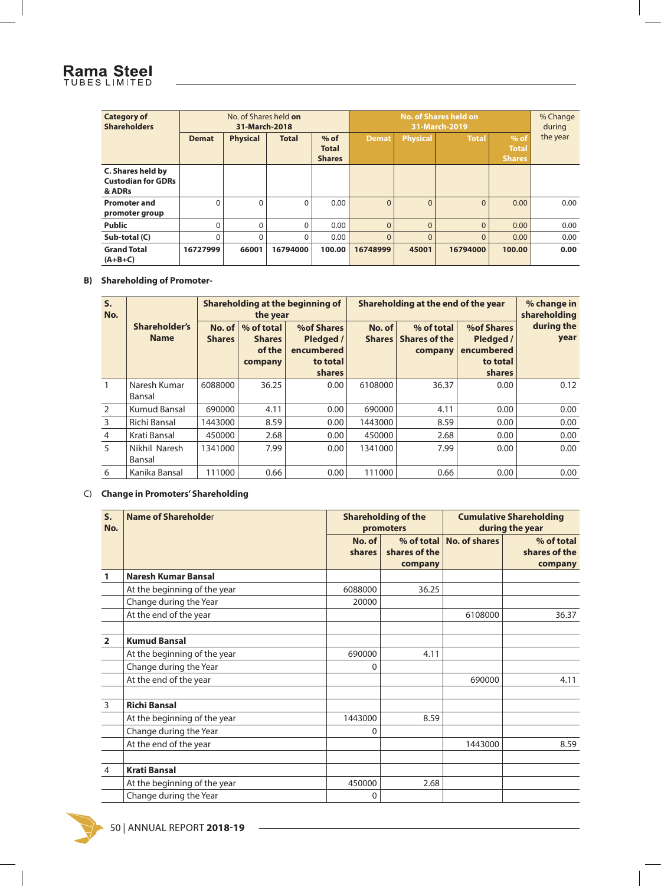| No. of Shares held on<br><b>Category of</b><br><b>Shareholders</b><br>31-March-2018 |              |                 | <b>No. of Shares held on</b><br>31-March-2019 |                                         |              |                 | % Change<br>during |                                         |          |
|-------------------------------------------------------------------------------------|--------------|-----------------|-----------------------------------------------|-----------------------------------------|--------------|-----------------|--------------------|-----------------------------------------|----------|
|                                                                                     | <b>Demat</b> | <b>Physical</b> | <b>Total</b>                                  | $%$ of<br><b>Total</b><br><b>Shares</b> | <b>Demat</b> | <b>Physical</b> | <b>Total</b>       | $%$ of<br><b>Total</b><br><b>Shares</b> | the year |
| <b>C. Shares held by</b><br><b>Custodian for GDRs</b><br>& ADRs                     |              |                 |                                               |                                         |              |                 |                    |                                         |          |
| <b>Promoter and</b><br>promoter group                                               | $\Omega$     |                 | $\Omega$                                      | 0.00                                    | $\Omega$     | $\Omega$        | $\Omega$           | 0.00                                    | 0.00     |
| <b>Public</b>                                                                       | $\Omega$     |                 | 0                                             | 0.00                                    | $\Omega$     | $\mathbf{0}$    | $\Omega$           | 0.00                                    | 0.00     |
| Sub-total (C)                                                                       | $\Omega$     |                 | $\Omega$                                      | 0.00                                    | $\Omega$     | $\Omega$        | $\Omega$           | 0.00                                    | 0.00     |
| <b>Grand Total</b><br>$(A+B+C)$                                                     | 16727999     | 66001           | 16794000                                      | 100.00                                  | 16748999     | 45001           | 16794000           | 100.00                                  | 0.00     |

#### **B) Shareholding of Promoter-**

| S <sub>1</sub><br>No. |                              | Shareholding at the beginning of<br>the year |                                                  |                                                             |                         | Shareholding at the end of the year           | % change in<br>shareholding                                               |                    |
|-----------------------|------------------------------|----------------------------------------------|--------------------------------------------------|-------------------------------------------------------------|-------------------------|-----------------------------------------------|---------------------------------------------------------------------------|--------------------|
|                       | Shareholder's<br><b>Name</b> | No. of<br><b>Shares</b>                      | % of total<br><b>Shares</b><br>of the<br>company | %of Shares<br>Pledged /<br>encumbered<br>to total<br>shares | No. of<br><b>Shares</b> | % of total<br><b>Shares of the</b><br>company | <b>%of Shares</b><br>Pledged /<br>encumbered<br>to total<br><b>shares</b> | during the<br>year |
|                       | Naresh Kumar<br>Bansal       | 6088000                                      | 36.25                                            | 0.00                                                        | 6108000                 | 36.37                                         | 0.00                                                                      | 0.12               |
| $\mathcal{P}$         | <b>Kumud Bansal</b>          | 690000                                       | 4.11                                             | 0.00                                                        | 690000                  | 4.11                                          | 0.00                                                                      | 0.00               |
| 3                     | Richi Bansal                 | 1443000                                      | 8.59                                             | 0.00                                                        | 1443000                 | 8.59                                          | 0.00                                                                      | 0.00               |
| 4                     | Krati Bansal                 | 450000                                       | 2.68                                             | 0.00                                                        | 450000                  | 2.68                                          | 0.00                                                                      | 0.00               |
| 5                     | Nikhil Naresh<br>Bansal      | 1341000                                      | 7.99                                             | 0.00                                                        | 1341000                 | 7.99                                          | 0.00                                                                      | 0.00               |
| 6                     | Kanika Bansal                | 111000                                       | 0.66                                             | 0.00                                                        | 111000                  | 0.66                                          | 0.00                                                                      | 0.00               |

#### C) **Change in Promoters' Shareholding**

| S.<br>No.      | Name of Shareholder          |                  | <b>Shareholding of the</b><br>promoters | <b>Cumulative Shareholding</b><br>during the year |                                        |
|----------------|------------------------------|------------------|-----------------------------------------|---------------------------------------------------|----------------------------------------|
|                |                              | No. of<br>shares | shares of the<br>company                | % of total No. of shares                          | % of total<br>shares of the<br>company |
|                | <b>Naresh Kumar Bansal</b>   |                  |                                         |                                                   |                                        |
|                | At the beginning of the year | 6088000          | 36.25                                   |                                                   |                                        |
|                | Change during the Year       | 20000            |                                         |                                                   |                                        |
|                | At the end of the year       |                  |                                         | 6108000                                           | 36.37                                  |
| $\overline{2}$ | <b>Kumud Bansal</b>          |                  |                                         |                                                   |                                        |
|                | At the beginning of the year | 690000           | 4.11                                    |                                                   |                                        |
|                | Change during the Year       | 0                |                                         |                                                   |                                        |
|                | At the end of the year       |                  |                                         | 690000                                            | 4.11                                   |
| 3              | <b>Richi Bansal</b>          |                  |                                         |                                                   |                                        |
|                | At the beginning of the year | 1443000          | 8.59                                    |                                                   |                                        |
|                | Change during the Year       | $\Omega$         |                                         |                                                   |                                        |
|                | At the end of the year       |                  |                                         | 1443000                                           | 8.59                                   |
| $\overline{4}$ | <b>Krati Bansal</b>          |                  |                                         |                                                   |                                        |
|                | At the beginning of the year | 450000           | 2.68                                    |                                                   |                                        |
|                | Change during the Year       | 0                |                                         |                                                   |                                        |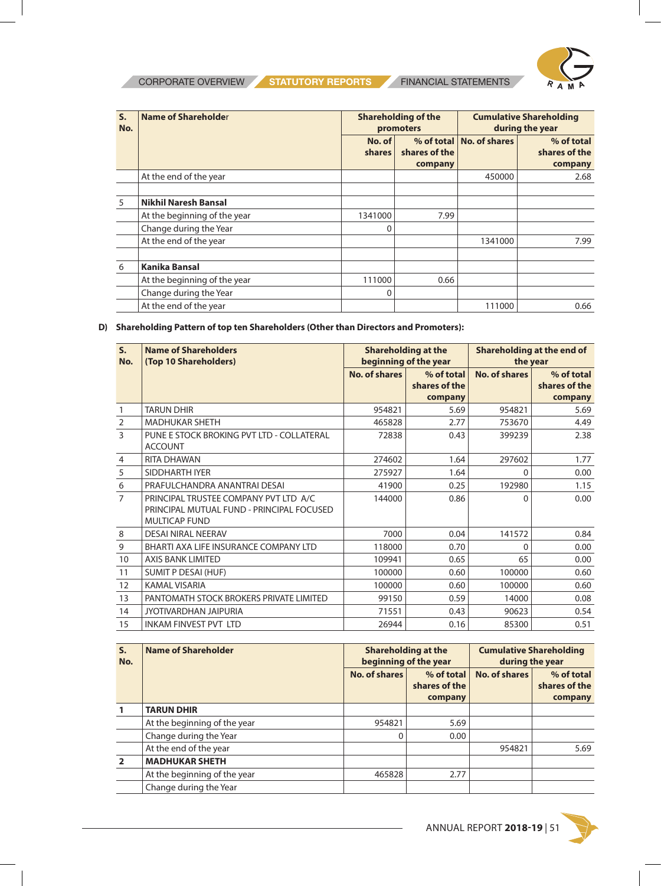

| S.<br>No. | <b>Name of Shareholder</b>   |                  | <b>Shareholding of the</b><br>promoters | <b>Cumulative Shareholding</b><br>during the year |                                        |
|-----------|------------------------------|------------------|-----------------------------------------|---------------------------------------------------|----------------------------------------|
|           |                              | No. of<br>shares | shares of the<br>company                | % of total   No. of shares                        | % of total<br>shares of the<br>company |
|           | At the end of the year       |                  |                                         | 450000                                            | 2.68                                   |
| 5         | <b>Nikhil Naresh Bansal</b>  |                  |                                         |                                                   |                                        |
|           | At the beginning of the year | 1341000          | 7.99                                    |                                                   |                                        |
|           | Change during the Year       | 0                |                                         |                                                   |                                        |
|           | At the end of the year       |                  |                                         | 1341000                                           | 7.99                                   |
| 6         | <b>Kanika Bansal</b>         |                  |                                         |                                                   |                                        |
|           | At the beginning of the year | 111000           | 0.66                                    |                                                   |                                        |
|           | Change during the Year       | 0                |                                         |                                                   |                                        |
|           | At the end of the year       |                  |                                         | 111000                                            | 0.66                                   |

#### **D) Shareholding Pattern of top ten Shareholders (Other than Directors and Promoters):**

| $S_{\cdot}$<br>No. | <b>Name of Shareholders</b><br>(Top 10 Shareholders)                                                       |               | <b>Shareholding at the</b><br>beginning of the year | Shareholding at the end of<br>the year |                 |  |
|--------------------|------------------------------------------------------------------------------------------------------------|---------------|-----------------------------------------------------|----------------------------------------|-----------------|--|
|                    |                                                                                                            | No. of shares | % of total                                          | No. of shares                          | % of total      |  |
|                    |                                                                                                            |               | shares of the                                       |                                        | shares of the   |  |
| 1                  | <b>TARUN DHIR</b>                                                                                          | 954821        | company<br>5.69                                     | 954821                                 | company<br>5.69 |  |
|                    | <b>MADHUKAR SHETH</b>                                                                                      | 465828        | 2.77                                                | 753670                                 |                 |  |
| $\overline{2}$     |                                                                                                            |               |                                                     |                                        | 4.49            |  |
| $\overline{3}$     | PUNE E STOCK BROKING PVT LTD - COLLATERAL<br><b>ACCOUNT</b>                                                | 72838         | 0.43                                                | 399239                                 | 2.38            |  |
| 4                  | <b>RITA DHAWAN</b>                                                                                         | 274602        | 1.64                                                | 297602                                 | 1.77            |  |
| 5                  | SIDDHARTH IYER                                                                                             | 275927        | 1.64                                                | 0                                      | 0.00            |  |
| 6                  | PRAFULCHANDRA ANANTRAI DESAI                                                                               | 41900         | 0.25                                                | 192980                                 | 1.15            |  |
| $\overline{7}$     | PRINCIPAL TRUSTEE COMPANY PVT LTD A/C<br>PRINCIPAL MUTUAL FUND - PRINCIPAL FOCUSED<br><b>MULTICAP FUND</b> | 144000        | 0.86                                                | <sup>0</sup>                           | 0.00            |  |
| 8                  | <b>DESAI NIRAL NEERAV</b>                                                                                  | 7000          | 0.04                                                | 141572                                 | 0.84            |  |
| 9                  | BHARTI AXA LIFE INSURANCE COMPANY LTD                                                                      | 118000        | 0.70                                                | $\Omega$                               | 0.00            |  |
| 10                 | <b>AXIS BANK LIMITED</b>                                                                                   | 109941        | 0.65                                                | 65                                     | 0.00            |  |
| 11                 | SUMIT P DESAI (HUF)                                                                                        | 100000        | 0.60                                                | 100000                                 | 0.60            |  |
| 12                 | <b>KAMAL VISARIA</b>                                                                                       | 100000        | 0.60                                                | 100000                                 | 0.60            |  |
| 13                 | PANTOMATH STOCK BROKERS PRIVATE LIMITED                                                                    | 99150         | 0.59                                                | 14000                                  | 0.08            |  |
| 14                 | JYOTIVARDHAN JAIPURIA                                                                                      | 71551         | 0.43                                                | 90623                                  | 0.54            |  |
| 15                 | <b>INKAM FINVEST PVT LTD</b>                                                                               | 26944         | 0.16                                                | 85300                                  | 0.51            |  |

| S.<br>No. | <b>Name of Shareholder</b>   |               | <b>Shareholding at the</b><br>beginning of the year | <b>Cumulative Shareholding</b><br>during the year |                                        |  |
|-----------|------------------------------|---------------|-----------------------------------------------------|---------------------------------------------------|----------------------------------------|--|
|           |                              | No. of shares | % of total<br>shares of the<br>company              | No. of shares                                     | % of total<br>shares of the<br>company |  |
|           | <b>TARUN DHIR</b>            |               |                                                     |                                                   |                                        |  |
|           | At the beginning of the year | 954821        | 5.69                                                |                                                   |                                        |  |
|           | Change during the Year       | $\Omega$      | 0.00                                                |                                                   |                                        |  |
|           | At the end of the year       |               |                                                     | 954821                                            | 5.69                                   |  |
|           | <b>MADHUKAR SHETH</b>        |               |                                                     |                                                   |                                        |  |
|           | At the beginning of the year | 465828        | 2.77                                                |                                                   |                                        |  |
|           | Change during the Year       |               |                                                     |                                                   |                                        |  |

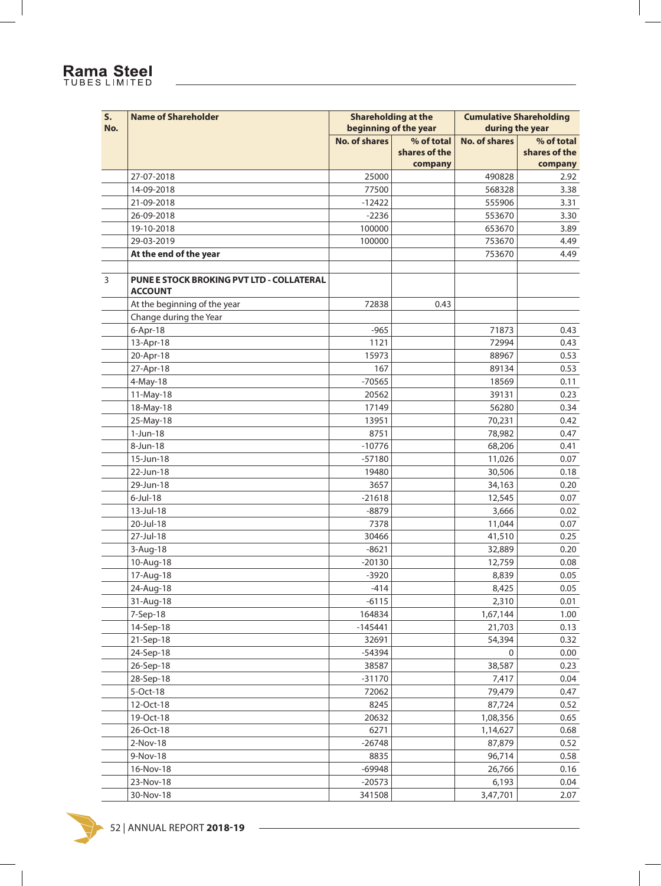#### **S. No. Name of Shareholder Shareholder Shareholding at the beginning of the year Cumulative Shareholding during the year No. of shares | % of total shares of the company No. of shares | % of total shares of the company** 27-07-2018 25000 490828 2.92 14-09-2018 77500 568328 3.38 21-09-2018 -12422 555906 3.31 26-09-2018 -2236 553670 3.30 19-10-2018 100000 653670 3.89 29-03-2019 100000 753670 4.49 **At the end of the year 120 At the end of the year** 120 At the end of the year 14.49 3 **PUNE E STOCK BROKING PVT LTD - COLLATERAL ACCOUNT** At the beginning of the year **72838** 0.43 Change during the Year 6-Apr-18 -965 71873 0.43 13-Apr-18 1121 72994 0.43 20-Apr-18 15973 88967 0.53 27-Apr-18 167 89134 0.53 4-May-18 -70565 | 18569 | 0.11 11-May-18 20562 39131 0.23 18-May-18 17149 56280 0.34 25-May-18 13951 70,231 0.42 1-Jun-18 8751 78,982 0.47 8-Jun-18 -10776 68,206 0.41 15-Jun-18 -57180 11,026 0.07 22-Jun-18 19480 30,506 0.18 29-Jun-18 3657 34,163 0.20 6-Jul-18 -21618 12,545 0.07 13-Jul-18 -8879 3,666 0.02 20-Jul-18 7378 11,044 0.07 27-Jul-18 30466 41,510 0.25 3-Aug-18 -8621 32,889 0.20 10-Aug-18 -20130 -20130 -20130 -20130 -20130 -20130 -20130 -20130 -20130 -20130 -2014 17-Aug-18 - -3920 - -3920 - -3920 - -3920 - -3920 - -3920 - -3920 - -3920 - -3920 - -3920 - -3920 - -3920 - -3 24-Aug-18 -414 8,425 0.05 31-Aug-18 -6115 -6115 -6115 -6115 -6115 -6115 -6115 -6115 -6115 -6115 -6115 -6115 -6115 -6115 -6115 -6115 -61 7-Sep-18 164834 1,67,144 1.00 14-Sep-18 -145441 21,703 0.13 21-Sep-18 32691 54,394 0.32 24-Sep-18 -54394 0 0.00 26-Sep-18 38587 38,587 0.23 28-Sep-18 -31170 -31170 -31170 -31170 -31170 - 7,417 0.04 5-Oct-18 72062 79,479 0.47 12-Oct-18 8245 87,724 0.52 19-Oct-18 20632 1,08,356 0.65 26-Oct-18 6271 1,14,627 0.68 2-Nov-18 -26748 87,879 0.52 9-Nov-18 8835 96,714 0.58 16-Nov-18 -69948 26,766 0.16 23-Nov-18 -20573 6,193 0.04

30-Nov-18 341508 3,47,701 2.07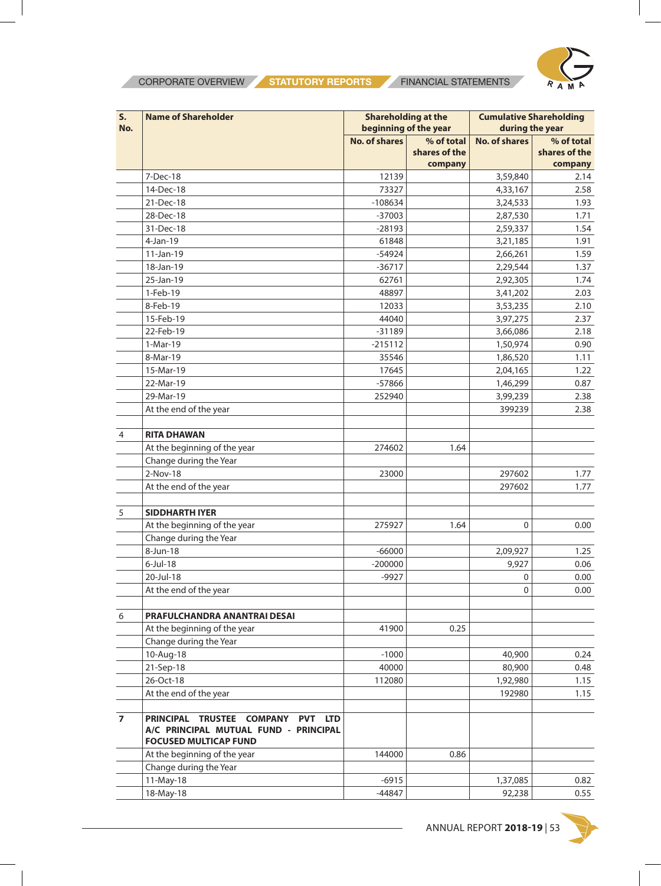

| S.<br>No.      | <b>Name of Shareholder</b>                                                                                                     | <b>Shareholding at the</b><br>beginning of the year |                             | <b>Cumulative Shareholding</b><br>during the year |                             |
|----------------|--------------------------------------------------------------------------------------------------------------------------------|-----------------------------------------------------|-----------------------------|---------------------------------------------------|-----------------------------|
|                |                                                                                                                                | <b>No. of shares</b>                                | % of total<br>shares of the | <b>No. of shares</b>                              | % of total<br>shares of the |
|                |                                                                                                                                |                                                     | company                     |                                                   | company                     |
|                | 7-Dec-18                                                                                                                       | 12139                                               |                             | 3,59,840                                          | 2.14                        |
|                | 14-Dec-18                                                                                                                      | 73327                                               |                             | 4,33,167                                          | 2.58                        |
|                | 21-Dec-18                                                                                                                      | $-108634$                                           |                             | 3,24,533                                          | 1.93                        |
|                | 28-Dec-18                                                                                                                      | $-37003$                                            |                             | 2,87,530                                          | 1.71                        |
|                | 31-Dec-18                                                                                                                      | $-28193$                                            |                             | 2,59,337                                          | 1.54                        |
|                | 4-Jan-19                                                                                                                       | 61848                                               |                             | 3,21,185                                          | 1.91                        |
|                | $11-Jan-19$                                                                                                                    | $-54924$                                            |                             | 2,66,261                                          | 1.59                        |
|                | 18-Jan-19                                                                                                                      | $-36717$                                            |                             | 2,29,544                                          | 1.37                        |
|                | 25-Jan-19                                                                                                                      | 62761                                               |                             | 2,92,305                                          | 1.74                        |
|                | 1-Feb-19                                                                                                                       | 48897                                               |                             | 3,41,202                                          | 2.03                        |
|                | 8-Feb-19                                                                                                                       | 12033                                               |                             | 3,53,235                                          | 2.10                        |
|                | 15-Feb-19                                                                                                                      | 44040                                               |                             | 3,97,275                                          | 2.37                        |
|                | 22-Feb-19                                                                                                                      | $-31189$                                            |                             | 3,66,086                                          | 2.18                        |
|                | 1-Mar-19                                                                                                                       | $-215112$                                           |                             | 1,50,974                                          | 0.90                        |
|                | 8-Mar-19                                                                                                                       | 35546                                               |                             | 1,86,520                                          | 1.11                        |
|                | 15-Mar-19                                                                                                                      | 17645                                               |                             | 2,04,165                                          | 1.22                        |
|                | 22-Mar-19                                                                                                                      | -57866                                              |                             | 1,46,299                                          | 0.87                        |
|                | 29-Mar-19                                                                                                                      | 252940                                              |                             | 3,99,239                                          | 2.38                        |
|                | At the end of the year                                                                                                         |                                                     |                             | 399239                                            | 2.38                        |
| 4              | <b>RITA DHAWAN</b>                                                                                                             |                                                     |                             |                                                   |                             |
|                | At the beginning of the year                                                                                                   | 274602                                              | 1.64                        |                                                   |                             |
|                | Change during the Year                                                                                                         |                                                     |                             |                                                   |                             |
|                | 2-Nov-18                                                                                                                       | 23000                                               |                             | 297602                                            | 1.77                        |
|                | At the end of the year                                                                                                         |                                                     |                             | 297602                                            | 1.77                        |
| 5              | <b>SIDDHARTH IYER</b>                                                                                                          |                                                     |                             |                                                   |                             |
|                | At the beginning of the year                                                                                                   | 275927                                              | 1.64                        | $\mathbf 0$                                       | 0.00                        |
|                | Change during the Year                                                                                                         |                                                     |                             |                                                   |                             |
|                | 8-Jun-18                                                                                                                       | $-66000$                                            |                             | 2,09,927                                          | 1.25                        |
|                | $6$ -Jul-18                                                                                                                    | $-200000$                                           |                             | 9,927                                             | 0.06                        |
|                | 20-Jul-18                                                                                                                      | $-9927$                                             |                             | 0                                                 | 0.00                        |
|                | At the end of the year                                                                                                         |                                                     |                             | $\Omega$                                          | 0.00                        |
| 6              | PRAFULCHANDRA ANANTRAI DESAI                                                                                                   |                                                     |                             |                                                   |                             |
|                | At the beginning of the year                                                                                                   | 41900                                               | 0.25                        |                                                   |                             |
|                | Change during the Year                                                                                                         |                                                     |                             |                                                   |                             |
|                | 10-Aug-18                                                                                                                      | $-1000$                                             |                             | 40,900                                            | 0.24                        |
|                | 21-Sep-18                                                                                                                      | 40000                                               |                             | 80,900                                            | 0.48                        |
|                | 26-Oct-18                                                                                                                      | 112080                                              |                             | 1,92,980                                          | 1.15                        |
|                | At the end of the year                                                                                                         |                                                     |                             | 192980                                            | 1.15                        |
| $\overline{ }$ | PRINCIPAL TRUSTEE COMPANY<br><b>PVT</b><br><b>LTD</b><br>A/C PRINCIPAL MUTUAL FUND - PRINCIPAL<br><b>FOCUSED MULTICAP FUND</b> |                                                     |                             |                                                   |                             |
|                | At the beginning of the year                                                                                                   | 144000                                              | 0.86                        |                                                   |                             |
|                | Change during the Year                                                                                                         |                                                     |                             |                                                   |                             |
|                | 11-May-18                                                                                                                      | $-6915$                                             |                             | 1,37,085                                          | 0.82                        |
|                | 18-May-18                                                                                                                      | $-44847$                                            |                             | 92,238                                            | 0.55                        |



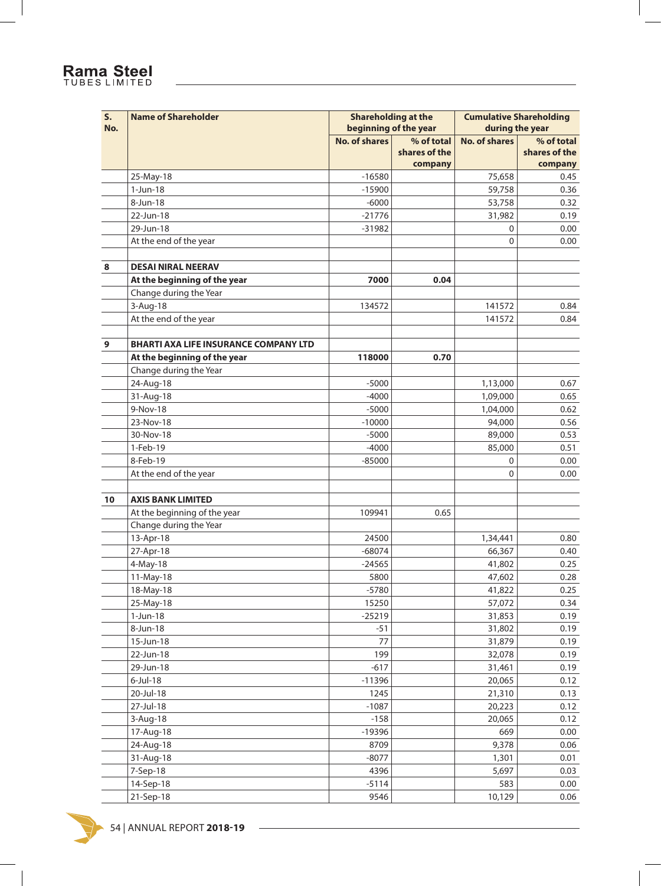# Rama Steel

| S.<br>No. | <b>Name of Shareholder</b>                   | <b>Shareholding at the</b><br>beginning of the year |               | <b>Cumulative Shareholding</b><br>during the year |                 |
|-----------|----------------------------------------------|-----------------------------------------------------|---------------|---------------------------------------------------|-----------------|
|           |                                              | <b>No. of shares</b>                                | % of total    | <b>No. of shares</b>                              | % of total      |
|           |                                              |                                                     | shares of the |                                                   | shares of the   |
|           | 25-May-18                                    | $-16580$                                            | company       | 75,658                                            | company<br>0.45 |
|           | $1-Jun-18$                                   | $-15900$                                            |               | 59,758                                            | 0.36            |
|           | 8-Jun-18                                     | $-6000$                                             |               | 53,758                                            | 0.32            |
|           | 22-Jun-18                                    | $-21776$                                            |               |                                                   | 0.19            |
|           | 29-Jun-18                                    | $-31982$                                            |               | 31,982                                            |                 |
|           | At the end of the year                       |                                                     |               | 0<br>$\mathbf{0}$                                 | 0.00            |
|           |                                              |                                                     |               |                                                   | 0.00            |
| 8         | <b>DESAI NIRAL NEERAV</b>                    |                                                     |               |                                                   |                 |
|           | At the beginning of the year                 | 7000                                                | 0.04          |                                                   |                 |
|           | Change during the Year                       |                                                     |               |                                                   |                 |
|           | 3-Aug-18                                     | 134572                                              |               | 141572                                            | 0.84            |
|           | At the end of the year                       |                                                     |               | 141572                                            | 0.84            |
| 9         | <b>BHARTI AXA LIFE INSURANCE COMPANY LTD</b> |                                                     |               |                                                   |                 |
|           | At the beginning of the year                 | 118000                                              | 0.70          |                                                   |                 |
|           | Change during the Year                       |                                                     |               |                                                   |                 |
|           | 24-Aug-18                                    | $-5000$                                             |               | 1,13,000                                          | 0.67            |
|           | 31-Aug-18                                    | $-4000$                                             |               | 1,09,000                                          | 0.65            |
|           | 9-Nov-18                                     | $-5000$                                             |               | 1,04,000                                          | 0.62            |
|           | 23-Nov-18                                    | $-10000$                                            |               | 94,000                                            | 0.56            |
|           | 30-Nov-18                                    | $-5000$                                             |               | 89,000                                            | 0.53            |
|           | 1-Feb-19                                     | $-4000$                                             |               | 85,000                                            | 0.51            |
|           | 8-Feb-19                                     | $-85000$                                            |               | 0                                                 | 0.00            |
|           | At the end of the year                       |                                                     |               | 0                                                 | 0.00            |
|           |                                              |                                                     |               |                                                   |                 |
| 10        | <b>AXIS BANK LIMITED</b>                     |                                                     |               |                                                   |                 |
|           | At the beginning of the year                 | 109941                                              | 0.65          |                                                   |                 |
|           | Change during the Year                       |                                                     |               |                                                   |                 |
|           | 13-Apr-18                                    | 24500                                               |               | 1,34,441                                          | 0.80            |
|           | 27-Apr-18                                    | $-68074$                                            |               | 66,367                                            | 0.40            |
|           | 4-May-18                                     | $-24565$                                            |               | 41,802                                            | 0.25            |
|           | 11-May-18                                    | 5800                                                |               | 47,602                                            | 0.28            |
|           | 18-May-18                                    | $-5780$                                             |               | 41,822                                            | 0.25            |
|           | 25-May-18                                    | 15250                                               |               | 57,072                                            | 0.34            |
|           | 1-Jun-18                                     | $-25219$                                            |               | 31,853                                            | 0.19            |
|           | 8-Jun-18                                     | $-51$                                               |               | 31,802                                            | 0.19            |
|           | 15-Jun-18                                    | 77                                                  |               | 31,879                                            | 0.19            |
|           | 22-Jun-18                                    | 199                                                 |               | 32,078                                            | 0.19            |
|           | 29-Jun-18                                    | $-617$                                              |               | 31,461                                            | 0.19            |
|           | $6$ -Jul-18                                  | $-11396$                                            |               | 20,065                                            | 0.12            |
|           | 20-Jul-18                                    | 1245                                                |               | 21,310                                            | 0.13            |
|           | 27-Jul-18                                    | $-1087$                                             |               | 20,223                                            | 0.12            |
|           | 3-Aug-18                                     | $-158$                                              |               | 20,065                                            | 0.12            |
|           | 17-Aug-18                                    | $-19396$                                            |               | 669                                               | 0.00            |
|           | 24-Aug-18                                    | 8709                                                |               | 9,378                                             | 0.06            |
|           | 31-Aug-18                                    | $-8077$                                             |               | 1,301                                             | 0.01            |
|           | 7-Sep-18                                     | 4396                                                |               | 5,697                                             | 0.03            |
|           | 14-Sep-18                                    | $-5114$                                             |               | 583                                               | 0.00            |
|           | 21-Sep-18                                    | 9546                                                |               | 10,129                                            | 0.06            |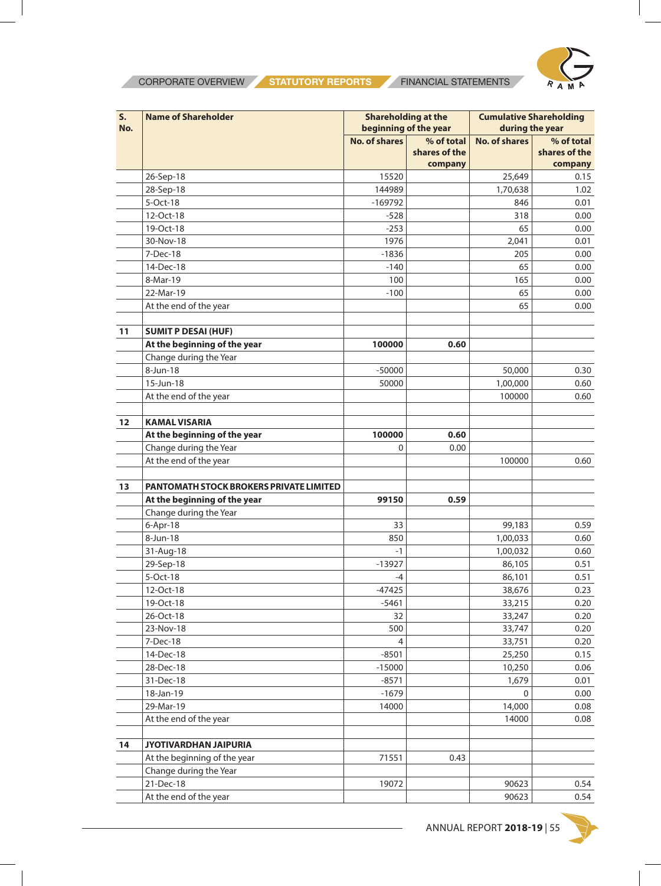

| S.  | <b>Name of Shareholder</b>                     | <b>Shareholding at the</b> |               | <b>Cumulative Shareholding</b> |               |  |
|-----|------------------------------------------------|----------------------------|---------------|--------------------------------|---------------|--|
| No. |                                                | beginning of the year      |               | during the year                |               |  |
|     |                                                | <b>No. of shares</b>       | % of total    | <b>No. of shares</b>           | % of total    |  |
|     |                                                |                            | shares of the |                                | shares of the |  |
|     |                                                |                            | company       |                                | company       |  |
|     | 26-Sep-18                                      | 15520                      |               | 25,649                         | 0.15          |  |
|     | 28-Sep-18                                      | 144989                     |               | 1,70,638                       | 1.02          |  |
|     | 5-Oct-18                                       | $-169792$                  |               | 846                            | 0.01          |  |
|     | 12-Oct-18                                      | $-528$                     |               | 318                            | 0.00          |  |
|     | 19-Oct-18                                      | $-253$                     |               | 65                             | 0.00          |  |
|     | 30-Nov-18                                      | 1976                       |               | 2,041                          | 0.01          |  |
|     | 7-Dec-18                                       | $-1836$                    |               | 205                            | 0.00          |  |
|     | 14-Dec-18                                      | $-140$                     |               | 65                             | 0.00          |  |
|     | 8-Mar-19                                       | 100                        |               | 165                            | 0.00          |  |
|     | 22-Mar-19                                      | $-100$                     |               | 65                             | 0.00          |  |
|     | At the end of the year                         |                            |               | 65                             | 0.00          |  |
| 11  | <b>SUMIT P DESAI (HUF)</b>                     |                            |               |                                |               |  |
|     | At the beginning of the year                   | 100000                     | 0.60          |                                |               |  |
|     | Change during the Year                         |                            |               |                                |               |  |
|     | 8-Jun-18                                       | $-50000$                   |               | 50,000                         | 0.30          |  |
|     | 15-Jun-18                                      | 50000                      |               | 1,00,000                       | 0.60          |  |
|     | At the end of the year                         |                            |               | 100000                         | 0.60          |  |
|     |                                                |                            |               |                                |               |  |
| 12  | <b>KAMAL VISARIA</b>                           |                            |               |                                |               |  |
|     | At the beginning of the year                   | 100000                     | 0.60          |                                |               |  |
|     | Change during the Year                         | 0                          | 0.00          |                                |               |  |
|     | At the end of the year                         |                            |               | 100000                         | 0.60          |  |
|     |                                                |                            |               |                                |               |  |
| 13  | <b>PANTOMATH STOCK BROKERS PRIVATE LIMITED</b> |                            |               |                                |               |  |
|     | At the beginning of the year                   | 99150                      | 0.59          |                                |               |  |
|     | Change during the Year                         |                            |               |                                |               |  |
|     | $6 - Apr - 18$                                 | 33                         |               | 99,183                         | 0.59          |  |
|     | 8-Jun-18                                       | 850                        |               | 1,00,033                       | 0.60          |  |
|     | 31-Aug-18                                      | $-1$                       |               | 1,00,032                       | 0.60          |  |
|     | 29-Sep-18                                      | $-13927$                   |               | 86,105                         | 0.51          |  |
|     | 5-Oct-18                                       | $-4$                       |               | 86,101                         | 0.51          |  |
|     | 12-Oct-18                                      | $-47425$                   |               | 38,676                         | 0.23          |  |
|     | 19-Oct-18                                      | $-5461$                    |               | 33,215                         | 0.20          |  |
|     | 26-Oct-18                                      | 32                         |               | 33,247                         | 0.20          |  |
|     | 23-Nov-18                                      | 500                        |               | 33,747                         | 0.20          |  |
|     | 7-Dec-18                                       | 4                          |               | 33,751                         | 0.20          |  |
|     | 14-Dec-18                                      | $-8501$                    |               | 25,250                         | 0.15          |  |
|     | 28-Dec-18                                      | $-15000$                   |               | 10,250                         | 0.06          |  |
|     | 31-Dec-18                                      | $-8571$                    |               | 1,679                          | 0.01          |  |
|     | 18-Jan-19                                      | $-1679$                    |               | $\Omega$                       | 0.00          |  |
|     | 29-Mar-19                                      | 14000                      |               | 14,000                         | 0.08          |  |
|     | At the end of the year                         |                            |               | 14000                          | 0.08          |  |
|     |                                                |                            |               |                                |               |  |
| 14  | <b>JYOTIVARDHAN JAIPURIA</b>                   |                            |               |                                |               |  |
|     | At the beginning of the year                   | 71551                      | 0.43          |                                |               |  |
|     | Change during the Year                         |                            |               |                                |               |  |
|     | 21-Dec-18                                      | 19072                      |               | 90623                          | 0.54          |  |
|     | At the end of the year                         |                            |               | 90623                          | 0.54          |  |

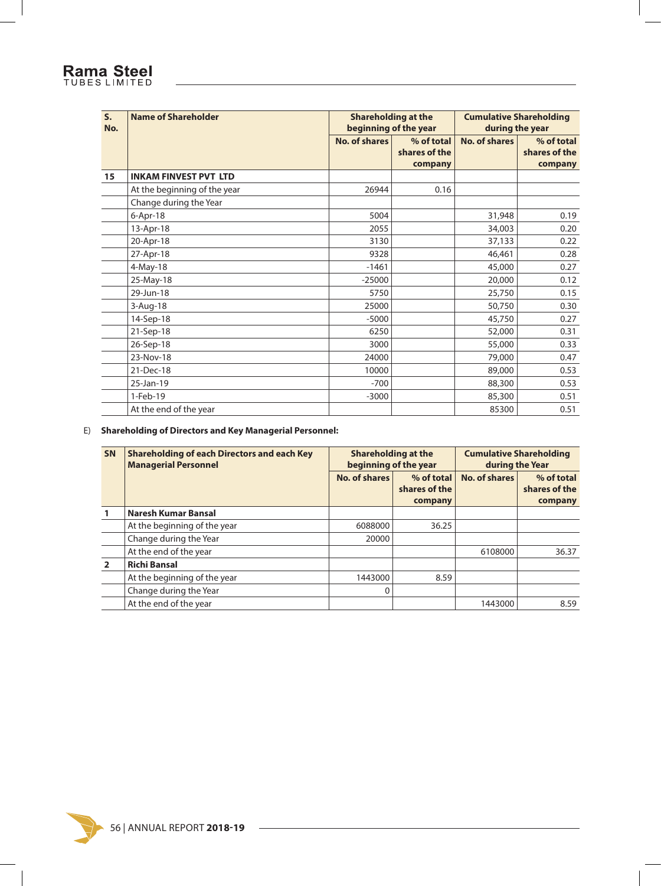### Rama Steel

| S <sub>1</sub><br>No. | <b>Name of Shareholder</b>   |                      | <b>Shareholding at the</b><br>beginning of the year | <b>Cumulative Shareholding</b><br>during the year |                             |  |
|-----------------------|------------------------------|----------------------|-----------------------------------------------------|---------------------------------------------------|-----------------------------|--|
|                       |                              | <b>No. of shares</b> | % of total<br>shares of the                         | No. of shares                                     | % of total<br>shares of the |  |
|                       |                              |                      | company                                             |                                                   | company                     |  |
| 15                    | <b>INKAM FINVEST PVT LTD</b> |                      |                                                     |                                                   |                             |  |
|                       | At the beginning of the year | 26944                | 0.16                                                |                                                   |                             |  |
|                       | Change during the Year       |                      |                                                     |                                                   |                             |  |
|                       | $6$ -Apr-18                  | 5004                 |                                                     | 31,948                                            | 0.19                        |  |
|                       | 13-Apr-18                    | 2055                 |                                                     | 34,003                                            | 0.20                        |  |
|                       | 20-Apr-18                    | 3130                 |                                                     | 37,133                                            | 0.22                        |  |
|                       | 27-Apr-18                    | 9328                 |                                                     | 46,461                                            | 0.28                        |  |
|                       | 4-May-18                     | $-1461$              |                                                     | 45,000                                            | 0.27                        |  |
|                       | 25-May-18                    | $-25000$             |                                                     | 20,000                                            | 0.12                        |  |
|                       | 29-Jun-18                    | 5750                 |                                                     | 25,750                                            | 0.15                        |  |
|                       | 3-Aug-18                     | 25000                |                                                     | 50,750                                            | 0.30                        |  |
|                       | 14-Sep-18                    | $-5000$              |                                                     | 45,750                                            | 0.27                        |  |
|                       | 21-Sep-18                    | 6250                 |                                                     | 52,000                                            | 0.31                        |  |
|                       | 26-Sep-18                    | 3000                 |                                                     | 55,000                                            | 0.33                        |  |
|                       | 23-Nov-18                    | 24000                |                                                     | 79,000                                            | 0.47                        |  |
|                       | 21-Dec-18                    | 10000                |                                                     | 89,000                                            | 0.53                        |  |
|                       | 25-Jan-19                    | $-700$               |                                                     | 88,300                                            | 0.53                        |  |
|                       | 1-Feb-19                     | $-3000$              |                                                     | 85,300                                            | 0.51                        |  |
|                       | At the end of the year       |                      |                                                     | 85300                                             | 0.51                        |  |

#### E) **Shareholding of Directors and Key Managerial Personnel:**

| <b>SN</b> | <b>Shareholding of each Directors and each Key</b><br><b>Managerial Personnel</b> | <b>Shareholding at the</b><br>beginning of the year |                                        | <b>Cumulative Shareholding</b><br>during the Year |                                        |
|-----------|-----------------------------------------------------------------------------------|-----------------------------------------------------|----------------------------------------|---------------------------------------------------|----------------------------------------|
|           |                                                                                   | No. of shares                                       | % of total<br>shares of the<br>company | No. of shares                                     | % of total<br>shares of the<br>company |
|           | Naresh Kumar Bansal                                                               |                                                     |                                        |                                                   |                                        |
|           | At the beginning of the year                                                      | 6088000                                             | 36.25                                  |                                                   |                                        |
|           | Change during the Year                                                            | 20000                                               |                                        |                                                   |                                        |
|           | At the end of the year                                                            |                                                     |                                        | 6108000                                           | 36.37                                  |
|           | <b>Richi Bansal</b>                                                               |                                                     |                                        |                                                   |                                        |
|           | At the beginning of the year                                                      | 1443000                                             | 8.59                                   |                                                   |                                        |
|           | Change during the Year                                                            | $\Omega$                                            |                                        |                                                   |                                        |
|           | At the end of the year                                                            |                                                     |                                        | 1443000                                           | 8.59                                   |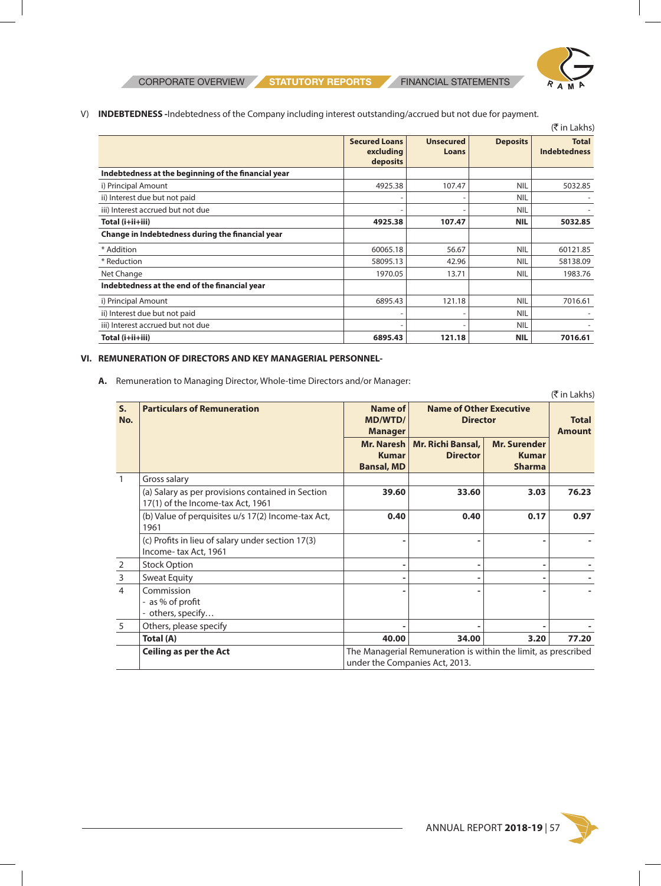**CORPORATE OVERVIEW STATUTORY REPORTS** FINANCIAL STATEMENTS



V) **INDEBTEDNESS -**Indebtedness of the Company including interest outstanding/accrued but not due for payment.

|                                                     |                                               |                           |                 | (₹ in Lakhs)                        |
|-----------------------------------------------------|-----------------------------------------------|---------------------------|-----------------|-------------------------------------|
|                                                     | <b>Secured Loans</b><br>excluding<br>deposits | <b>Unsecured</b><br>Loans | <b>Deposits</b> | <b>Total</b><br><b>Indebtedness</b> |
| Indebtedness at the beginning of the financial year |                                               |                           |                 |                                     |
| i) Principal Amount                                 | 4925.38                                       | 107.47                    | <b>NIL</b>      | 5032.85                             |
| ii) Interest due but not paid                       |                                               |                           | <b>NIL</b>      |                                     |
| iii) Interest accrued but not due                   |                                               |                           | <b>NIL</b>      |                                     |
| Total (i+ii+iii)                                    | 4925.38                                       | 107.47                    | <b>NIL</b>      | 5032.85                             |
| Change in Indebtedness during the financial year    |                                               |                           |                 |                                     |
| * Addition                                          | 60065.18                                      | 56.67                     | <b>NIL</b>      | 60121.85                            |
| * Reduction                                         | 58095.13                                      | 42.96                     | <b>NIL</b>      | 58138.09                            |
| Net Change                                          | 1970.05                                       | 13.71                     | <b>NIL</b>      | 1983.76                             |
| Indebtedness at the end of the financial year       |                                               |                           |                 |                                     |
| i) Principal Amount                                 | 6895.43                                       | 121.18                    | <b>NIL</b>      | 7016.61                             |
| ii) Interest due but not paid                       |                                               |                           | <b>NIL</b>      |                                     |
| iii) Interest accrued but not due                   |                                               |                           | <b>NIL</b>      |                                     |
| Total (i+ii+iii)                                    | 6895.43                                       | 121.18                    | <b>NIL</b>      | 7016.61                             |

#### **VI. REMUNERATION OF DIRECTORS AND KEY MANAGERIAL PERSONNEL-**

**A.** Remuneration to Managing Director, Whole-time Directors and/or Manager:

|                    |                                                                                                                                        |                                                 |                                                                                                  |                                                      | $($ ₹ in Lakhs) |
|--------------------|----------------------------------------------------------------------------------------------------------------------------------------|-------------------------------------------------|--------------------------------------------------------------------------------------------------|------------------------------------------------------|-----------------|
| $S_{\cdot}$<br>No. | <b>Particulars of Remuneration</b><br>Name of<br><b>Name of Other Executive</b><br><b>MD/WTD/</b><br><b>Director</b><br><b>Manager</b> |                                                 |                                                                                                  | <b>Total</b><br><b>Amount</b>                        |                 |
|                    |                                                                                                                                        | Mr. Naresh<br><b>Kumar</b><br><b>Bansal, MD</b> | Mr. Richi Bansal,<br><b>Director</b>                                                             | <b>Mr. Surender</b><br><b>Kumar</b><br><b>Sharma</b> |                 |
|                    | Gross salary                                                                                                                           |                                                 |                                                                                                  |                                                      |                 |
|                    | (a) Salary as per provisions contained in Section<br>17(1) of the Income-tax Act, 1961                                                 | 39.60                                           | 33.60                                                                                            | 3.03                                                 | 76.23           |
|                    | (b) Value of perquisites u/s 17(2) Income-tax Act,<br>1961                                                                             | 0.40                                            | 0.40                                                                                             | 0.17                                                 | 0.97            |
|                    | (c) Profits in lieu of salary under section 17(3)<br>Income-tax Act, 1961                                                              |                                                 |                                                                                                  |                                                      |                 |
| $\overline{2}$     | <b>Stock Option</b>                                                                                                                    |                                                 | ٠                                                                                                | ۰                                                    |                 |
| $\mathsf{3}$       | <b>Sweat Equity</b>                                                                                                                    |                                                 |                                                                                                  |                                                      |                 |
| $\overline{4}$     | Commission<br>- as % of profit<br>others, specify                                                                                      |                                                 |                                                                                                  |                                                      |                 |
| 5                  | Others, please specify                                                                                                                 |                                                 |                                                                                                  |                                                      |                 |
|                    | Total (A)                                                                                                                              | 40.00                                           | 34.00                                                                                            | 3.20                                                 | 77.20           |
|                    | <b>Ceiling as per the Act</b>                                                                                                          |                                                 | The Managerial Remuneration is within the limit, as prescribed<br>under the Companies Act, 2013. |                                                      |                 |